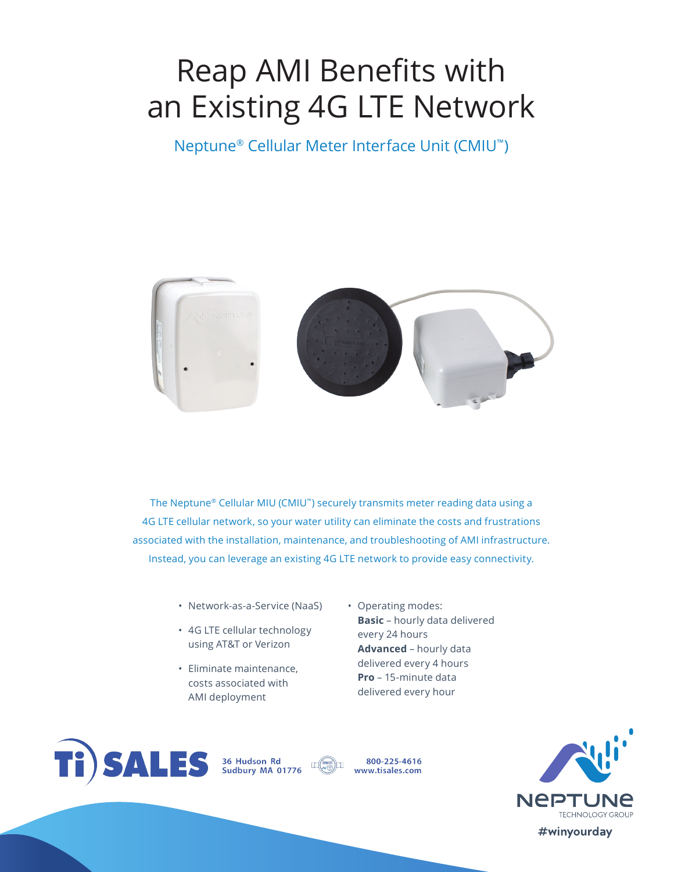# Reap AMI Benefits with an Existing 4G LTE Network

Neptune® Cellular Meter Interface Unit (CMIU™)



The Neptune® Cellular MIU (CMIU™) securely transmits meter reading data using a 4G LTE cellular network, so your water utility can eliminate the costs and frustrations associated with the installation, maintenance, and troubleshooting of AMI infrastructure. Instead, you can leverage an existing 4G LTE network to provide easy connectivity.

- Network-as-a-Service (NaaS)
- 4G LTE cellular technology using AT&T or Verizon
- Eliminate maintenance, costs associated with AMI deployment
- Operating modes: **Basic** – hourly data delivered every 24 hours **Advanced** – hourly data delivered every 4 hours **Pro** – 15-minute data delivered every hour